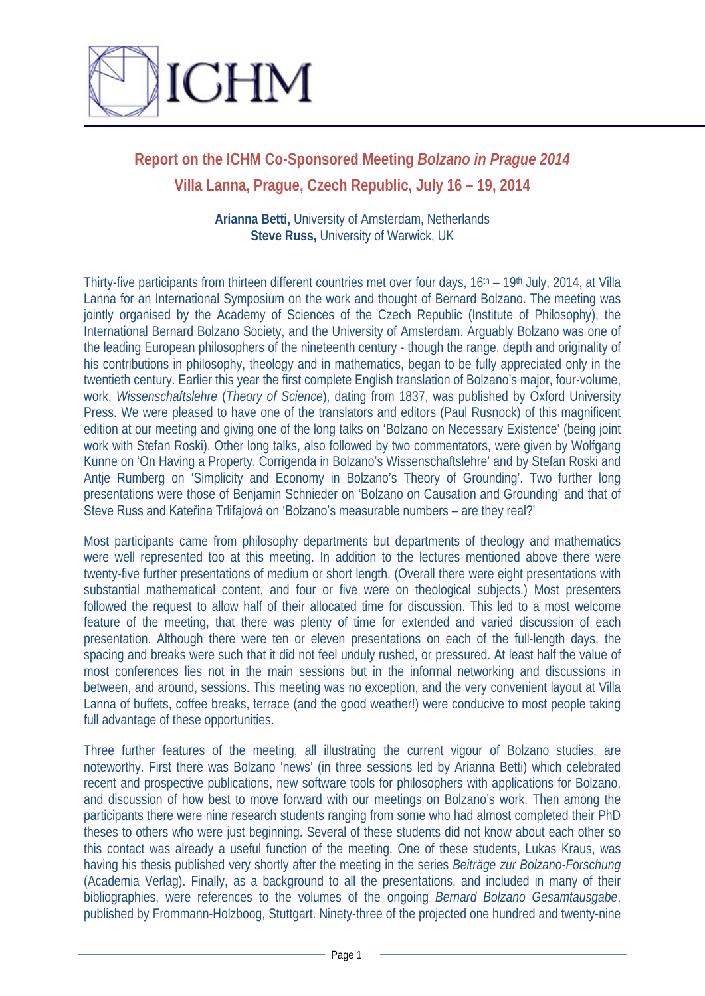

## **Report on the ICHM Co-Sponsored Meeting** *Bolzano in Prague 2014* **Villa Lanna, Prague, Czech Republic, July 16 – 19, 2014**

**Arianna Betti,** University of Amsterdam, Netherlands **Steve Russ,** University of Warwick, UK

Thirty-five participants from thirteen different countries met over four days, 16<sup>th</sup> – 19<sup>th</sup> July, 2014, at Villa Lanna for an International Symposium on the work and thought of Bernard Bolzano. The meeting was jointly organised by the Academy of Sciences of the Czech Republic (Institute of Philosophy), the International Bernard Bolzano Society, and the University of Amsterdam. Arguably Bolzano was one of the leading European philosophers of the nineteenth century - though the range, depth and originality of his contributions in philosophy, theology and in mathematics, began to be fully appreciated only in the twentieth century. Earlier this year the first complete English translation of Bolzano's major, four-volume, work, *Wissenschaftslehre* (*Theory of Science*), dating from 1837, was published by Oxford University Press. We were pleased to have one of the translators and editors (Paul Rusnock) of this magnificent edition at our meeting and giving one of the long talks on 'Bolzano on Necessary Existence' (being joint work with Stefan Roski). Other long talks, also followed by two commentators, were given by Wolfgang Künne on 'On Having a Property. Corrigenda in Bolzano's Wissenschaftslehre' and by Stefan Roski and Antje Rumberg on 'Simplicity and Economy in Bolzano's Theory of Grounding'. Two further long presentations were those of Benjamin Schnieder on 'Bolzano on Causation and Grounding' and that of Steve Russ and Kateřina Trlifajová on 'Bolzano's measurable numbers – are they real?'

Most participants came from philosophy departments but departments of theology and mathematics were well represented too at this meeting. In addition to the lectures mentioned above there were twenty-five further presentations of medium or short length. (Overall there were eight presentations with substantial mathematical content, and four or five were on theological subjects.) Most presenters followed the request to allow half of their allocated time for discussion. This led to a most welcome feature of the meeting, that there was plenty of time for extended and varied discussion of each presentation. Although there were ten or eleven presentations on each of the full-length days, the spacing and breaks were such that it did not feel unduly rushed, or pressured. At least half the value of most conferences lies not in the main sessions but in the informal networking and discussions in between, and around, sessions. This meeting was no exception, and the very convenient layout at Villa Lanna of buffets, coffee breaks, terrace (and the good weather!) were conducive to most people taking full advantage of these opportunities.

Three further features of the meeting, all illustrating the current vigour of Bolzano studies, are noteworthy. First there was Bolzano 'news' (in three sessions led by Arianna Betti) which celebrated recent and prospective publications, new software tools for philosophers with applications for Bolzano, and discussion of how best to move forward with our meetings on Bolzano's work. Then among the participants there were nine research students ranging from some who had almost completed their PhD theses to others who were just beginning. Several of these students did not know about each other so this contact was already a useful function of the meeting. One of these students, Lukas Kraus, was having his thesis published very shortly after the meeting in the series *Beiträge zur Bolzano-Forschung* (Academia Verlag). Finally, as a background to all the presentations, and included in many of their bibliographies, were references to the volumes of the ongoing *Bernard Bolzano Gesamtausgabe*, published by Frommann-Holzboog, Stuttgart. Ninety-three of the projected one hundred and twenty-nine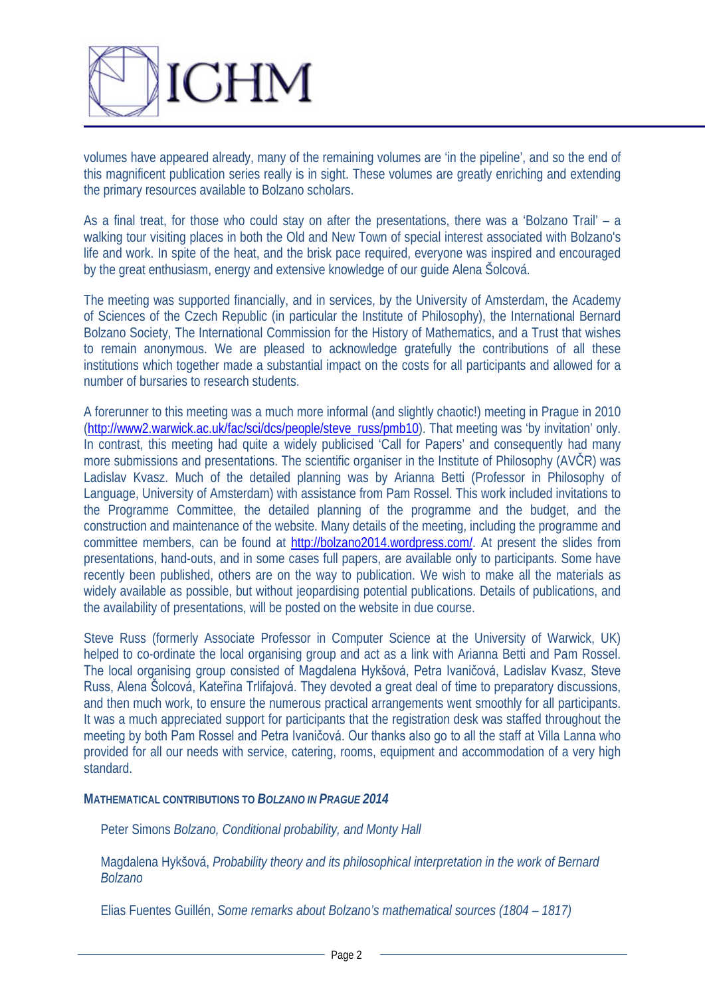

volumes have appeared already, many of the remaining volumes are 'in the pipeline', and so the end of this magnificent publication series really is in sight. These volumes are greatly enriching and extending the primary resources available to Bolzano scholars.

As a final treat, for those who could stay on after the presentations, there was a 'Bolzano Trail' – a walking tour visiting places in both the Old and New Town of special interest associated with Bolzano's life and work. In spite of the heat, and the brisk pace required, everyone was inspired and encouraged by the great enthusiasm, energy and extensive knowledge of our guide Alena Šolcová.

The meeting was supported financially, and in services, by the University of Amsterdam, the Academy of Sciences of the Czech Republic (in particular the Institute of Philosophy), the International Bernard Bolzano Society, The International Commission for the History of Mathematics, and a Trust that wishes to remain anonymous. We are pleased to acknowledge gratefully the contributions of all these institutions which together made a substantial impact on the costs for all participants and allowed for a number of bursaries to research students.

A forerunner to this meeting was a much more informal (and slightly chaotic!) meeting in Prague in 2010 [\(http://www2.warwick.ac.uk/fac/sci/dcs/people/steve\\_russ/pmb10\)](http://www2.warwick.ac.uk/fac/sci/dcs/people/steve_russ/pmb10). That meeting was 'by invitation' only. In contrast, this meeting had quite a widely publicised 'Call for Papers' and consequently had many more submissions and presentations. The scientific organiser in the Institute of Philosophy (AVČR) was Ladislav Kvasz. Much of the detailed planning was by Arianna Betti (Professor in Philosophy of Language, University of Amsterdam) with assistance from Pam Rossel. This work included invitations to the Programme Committee, the detailed planning of the programme and the budget, and the construction and maintenance of the website. Many details of the meeting, including the programme and committee members, can be found at [http://bolzano2014.wordpress.com/.](http://bolzano2014.wordpress.com/) At present the slides from presentations, hand-outs, and in some cases full papers, are available only to participants. Some have recently been published, others are on the way to publication. We wish to make all the materials as widely available as possible, but without jeopardising potential publications. Details of publications, and the availability of presentations, will be posted on the website in due course.

Steve Russ (formerly Associate Professor in Computer Science at the University of Warwick, UK) helped to co-ordinate the local organising group and act as a link with Arianna Betti and Pam Rossel. The local organising group consisted of Magdalena Hykšová, Petra Ivaničová, Ladislav Kvasz, Steve Russ, Alena Šolcová, Kateřina Trlifajová. They devoted a great deal of time to preparatory discussions, and then much work, to ensure the numerous practical arrangements went smoothly for all participants. It was a much appreciated support for participants that the registration desk was staffed throughout the meeting by both Pam Rossel and Petra Ivaničová. Our thanks also go to all the staff at Villa Lanna who provided for all our needs with service, catering, rooms, equipment and accommodation of a very high standard.

## **MATHEMATICAL CONTRIBUTIONS TO** *BOLZANO IN PRAGUE 2014*

Peter Simons *Bolzano, Conditional probability, and Monty Hall*

Magdalena Hykšová, *Probability theory and its philosophical interpretation in the work of Bernard Bolzano*

Elias Fuentes Guillén, *Some remarks about Bolzano's mathematical sources (1804 – 1817)*